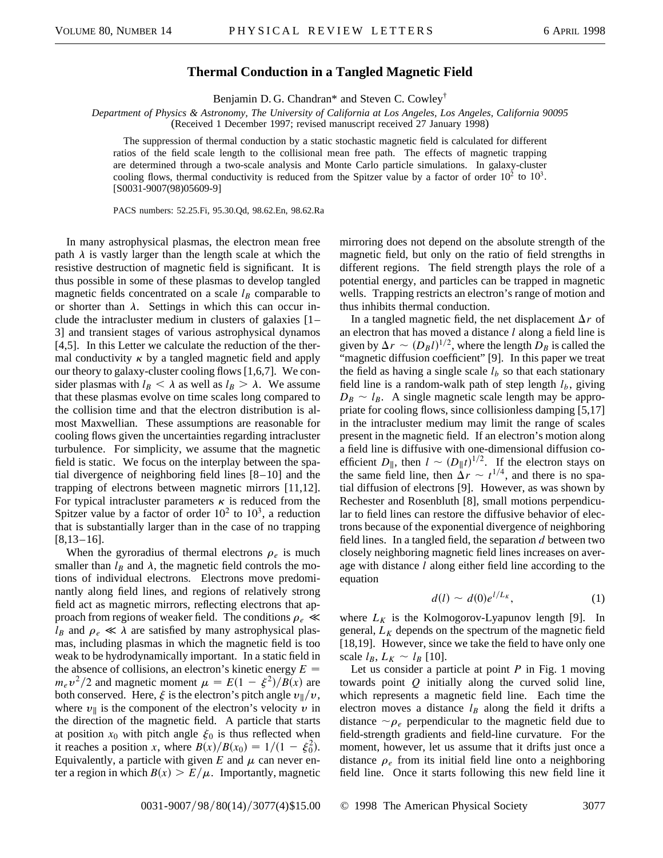## **Thermal Conduction in a Tangled Magnetic Field**

Benjamin D. G. Chandran\* and Steven C. Cowley†

*Department of Physics & Astronomy, The University of California at Los Angeles, Los Angeles, California 90095* (Received 1 December 1997; revised manuscript received 27 January 1998)

The suppression of thermal conduction by a static stochastic magnetic field is calculated for different ratios of the field scale length to the collisional mean free path. The effects of magnetic trapping are determined through a two-scale analysis and Monte Carlo particle simulations. In galaxy-cluster cooling flows, thermal conductivity is reduced from the Spitzer value by a factor of order  $10^2$  to  $10^3$ . [S0031-9007(98)05609-9]

PACS numbers: 52.25.Fi, 95.30.Qd, 98.62.En, 98.62.Ra

In many astrophysical plasmas, the electron mean free path  $\lambda$  is vastly larger than the length scale at which the resistive destruction of magnetic field is significant. It is thus possible in some of these plasmas to develop tangled magnetic fields concentrated on a scale  $l_B$  comparable to or shorter than  $\lambda$ . Settings in which this can occur include the intracluster medium in clusters of galaxies [1– 3] and transient stages of various astrophysical dynamos [4,5]. In this Letter we calculate the reduction of the thermal conductivity  $\kappa$  by a tangled magnetic field and apply our theory to galaxy-cluster cooling flows [1,6,7]. We consider plasmas with  $l_B < \lambda$  as well as  $l_B > \lambda$ . We assume that these plasmas evolve on time scales long compared to the collision time and that the electron distribution is almost Maxwellian. These assumptions are reasonable for cooling flows given the uncertainties regarding intracluster turbulence. For simplicity, we assume that the magnetic field is static. We focus on the interplay between the spatial divergence of neighboring field lines [8–10] and the trapping of electrons between magnetic mirrors [11,12]. For typical intracluster parameters  $\kappa$  is reduced from the Spitzer value by a factor of order  $10^2$  to  $10^3$ , a reduction that is substantially larger than in the case of no trapping [8,13–16].

When the gyroradius of thermal electrons  $\rho_e$  is much smaller than  $l_B$  and  $\lambda$ , the magnetic field controls the motions of individual electrons. Electrons move predominantly along field lines, and regions of relatively strong field act as magnetic mirrors, reflecting electrons that approach from regions of weaker field. The conditions  $\rho_e \ll$  $l_B$  and  $\rho_e \ll \lambda$  are satisfied by many astrophysical plasmas, including plasmas in which the magnetic field is too weak to be hydrodynamically important. In a static field in the absence of collisions, an electron's kinetic energy  $E =$  $m_e v^2/2$  and magnetic moment  $\mu = E(1 - \xi^2)/B(x)$  are both conserved. Here,  $\xi$  is the electron's pitch angle  $v_{\parallel}/v$ , where  $v_{\parallel}$  is the component of the electron's velocity v in the direction of the magnetic field. A particle that starts at position  $x_0$  with pitch angle  $\xi_0$  is thus reflected when it reaches a position *x*, where  $B(x)/B(x_0) = 1/(1 - \xi_0^2)$ . Equivalently, a particle with given  $E$  and  $\mu$  can never enter a region in which  $B(x) > E/\mu$ . Importantly, magnetic mirroring does not depend on the absolute strength of the magnetic field, but only on the ratio of field strengths in different regions. The field strength plays the role of a potential energy, and particles can be trapped in magnetic wells. Trapping restricts an electron's range of motion and thus inhibits thermal conduction.

In a tangled magnetic field, the net displacement  $\Delta r$  of an electron that has moved a distance *l* along a field line is given by  $\Delta r \sim (D_B l)^{1/2}$ , where the length  $D_B$  is called the "magnetic diffusion coefficient" [9]. In this paper we treat the field as having a single scale  $l_b$  so that each stationary field line is a random-walk path of step length  $l<sub>b</sub>$ , giving  $D_B \sim l_B$ . A single magnetic scale length may be appropriate for cooling flows, since collisionless damping [5,17] in the intracluster medium may limit the range of scales present in the magnetic field. If an electron's motion along a field line is diffusive with one-dimensional diffusion coefficient  $D_{\parallel}$ , then  $l \sim (D_{\parallel} t)^{1/2}$ . If the electron stays on the same field line, then  $\Delta r \sim t^{1/4}$ , and there is no spatial diffusion of electrons [9]. However, as was shown by Rechester and Rosenbluth [8], small motions perpendicular to field lines can restore the diffusive behavior of electrons because of the exponential divergence of neighboring field lines. In a tangled field, the separation *d* between two closely neighboring magnetic field lines increases on average with distance *l* along either field line according to the equation

$$
d(l) \sim d(0)e^{l/L_K}, \qquad (1)
$$

where  $L_K$  is the Kolmogorov-Lyapunov length [9]. In general,  $L_K$  depends on the spectrum of the magnetic field [18,19]. However, since we take the field to have only one scale  $l_B$ ,  $L_K \sim l_B$  [10].

Let us consider a particle at point *P* in Fig. 1 moving towards point *Q* initially along the curved solid line, which represents a magnetic field line. Each time the electron moves a distance  $l_B$  along the field it drifts a distance  $\sim \rho_e$  perpendicular to the magnetic field due to field-strength gradients and field-line curvature. For the moment, however, let us assume that it drifts just once a distance  $\rho_e$  from its initial field line onto a neighboring field line. Once it starts following this new field line it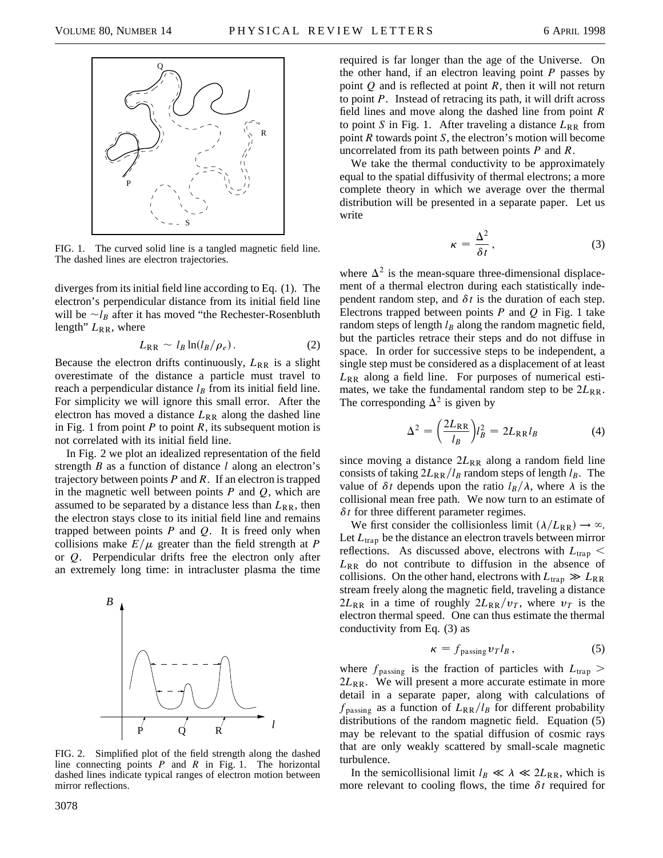

FIG. 1. The curved solid line is a tangled magnetic field line. The dashed lines are electron trajectories.

diverges from its initial field line according to Eq. (1). The electron's perpendicular distance from its initial field line will be  $\neg l_B$  after it has moved "the Rechester-Rosenbluth length"  $L_{RR}$ , where

$$
L_{\rm RR} \sim l_B \ln(l_B/\rho_e). \tag{2}
$$

Because the electron drifts continuously,  $L_{RR}$  is a slight overestimate of the distance a particle must travel to reach a perpendicular distance  $l_B$  from its initial field line. For simplicity we will ignore this small error. After the electron has moved a distance  $L_{RR}$  along the dashed line in Fig. 1 from point *P* to point *R*, its subsequent motion is not correlated with its initial field line.

In Fig. 2 we plot an idealized representation of the field strength *B* as a function of distance *l* along an electron's trajectory between points *P* and *R*. If an electron is trapped in the magnetic well between points *P* and *Q*, which are assumed to be separated by a distance less than  $L_{RR}$ , then the electron stays close to its initial field line and remains trapped between points *P* and *Q*. It is freed only when collisions make  $E/\mu$  greater than the field strength at *P* or *Q*. Perpendicular drifts free the electron only after an extremely long time: in intracluster plasma the time



FIG. 2. Simplified plot of the field strength along the dashed line connecting points *P* and *R* in Fig. 1. The horizontal dashed lines indicate typical ranges of electron motion between mirror reflections.

required is far longer than the age of the Universe. On the other hand, if an electron leaving point *P* passes by point *Q* and is reflected at point *R*, then it will not return to point *P*. Instead of retracing its path, it will drift across field lines and move along the dashed line from point *R* to point *S* in Fig. 1. After traveling a distance  $L_{RR}$  from point *R* towards point *S*, the electron's motion will become uncorrelated from its path between points *P* and *R*.

We take the thermal conductivity to be approximately equal to the spatial diffusivity of thermal electrons; a more complete theory in which we average over the thermal distribution will be presented in a separate paper. Let us write

$$
\kappa = \frac{\Delta^2}{\delta t},\tag{3}
$$

where  $\Delta^2$  is the mean-square three-dimensional displacement of a thermal electron during each statistically independent random step, and  $\delta t$  is the duration of each step. Electrons trapped between points *P* and *Q* in Fig. 1 take random steps of length  $l_B$  along the random magnetic field, but the particles retrace their steps and do not diffuse in space. In order for successive steps to be independent, a single step must be considered as a displacement of at least  $L_{RR}$  along a field line. For purposes of numerical estimates, we take the fundamental random step to be  $2L_{RR}$ . The corresponding  $\Delta^2$  is given by

$$
\Delta^2 = \left(\frac{2L_{\rm RR}}{l_B}\right) l_B^2 = 2L_{\rm RR} l_B \tag{4}
$$

since moving a distance  $2L_{RR}$  along a random field line consists of taking  $2L_{RR}/l_B$  random steps of length  $l_B$ . The value of  $\delta t$  depends upon the ratio  $l_B/\lambda$ , where  $\lambda$  is the collisional mean free path. We now turn to an estimate of  $\delta t$  for three different parameter regimes.

We first consider the collisionless limit  $(\lambda/L_{RR}) \rightarrow \infty$ . Let  $L_{trap}$  be the distance an electron travels between mirror reflections. As discussed above, electrons with  $L_{trap} <$ *L*RR do not contribute to diffusion in the absence of collisions. On the other hand, electrons with  $L_{trap} \gg L_{RR}$ stream freely along the magnetic field, traveling a distance  $2L_{RR}$  in a time of roughly  $2L_{RR}/v_T$ , where  $v_T$  is the electron thermal speed. One can thus estimate the thermal conductivity from Eq. (3) as

$$
\kappa = f_{\text{passing}} \, v_T l_B \,, \tag{5}
$$

where  $f_{\text{passing}}$  is the fraction of particles with  $L_{\text{trap}} >$  $2L_{RR}$ . We will present a more accurate estimate in more detail in a separate paper, along with calculations of  $f_{\text{passing}}$  as a function of  $L_{\text{RR}}/l_B$  for different probability distributions of the random magnetic field. Equation (5) may be relevant to the spatial diffusion of cosmic rays that are only weakly scattered by small-scale magnetic turbulence.

In the semicollisional limit  $l_B \ll \lambda \ll 2L_{RR}$ , which is more relevant to cooling flows, the time  $\delta t$  required for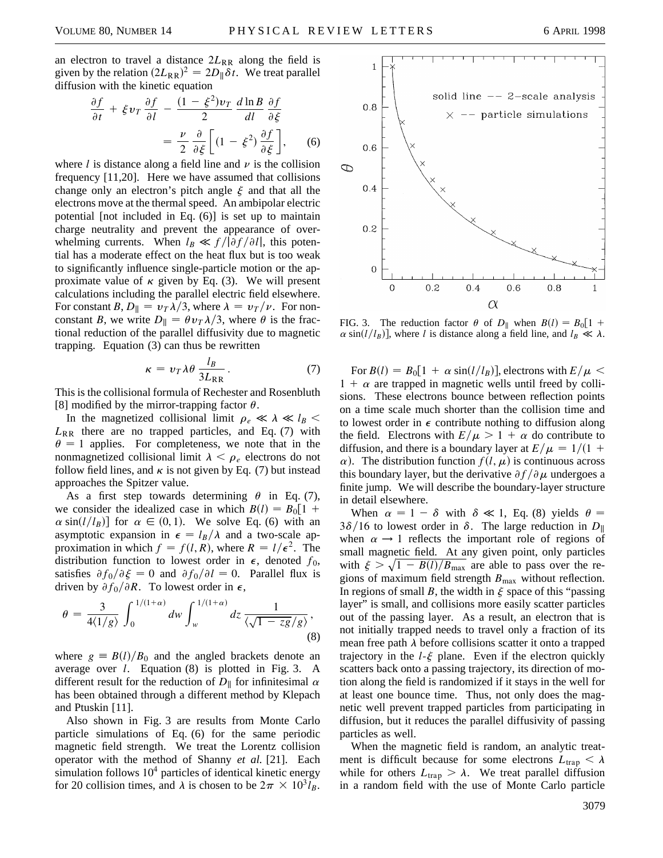an electron to travel a distance  $2L_{RR}$  along the field is given by the relation  $(2L_{RR})^2 = 2D_{\parallel}\delta t$ . We treat parallel diffusion with the kinetic equation

$$
\frac{\partial f}{\partial t} + \xi v_T \frac{\partial f}{\partial l} - \frac{(1 - \xi^2)v_T}{2} \frac{d \ln B}{dl} \frac{\partial f}{\partial \xi}
$$

$$
= \frac{\nu}{2} \frac{\partial}{\partial \xi} \left[ (1 - \xi^2) \frac{\partial f}{\partial \xi} \right], \qquad (6)
$$

where *l* is distance along a field line and  $\nu$  is the collision frequency [11,20]. Here we have assumed that collisions change only an electron's pitch angle  $\xi$  and that all the electrons move at the thermal speed. An ambipolar electric potential [not included in Eq. (6)] is set up to maintain charge neutrality and prevent the appearance of overwhelming currents. When  $l_B \ll f/|\partial f/\partial l|$ , this potential has a moderate effect on the heat flux but is too weak to significantly influence single-particle motion or the approximate value of  $\kappa$  given by Eq. (3). We will present calculations including the parallel electric field elsewhere. For constant *B*,  $D_{\parallel} = v_T \lambda/3$ , where  $\lambda = v_T/v$ . For nonconstant *B*, we write  $D_{\parallel} = \theta v_T \lambda/3$ , where  $\theta$  is the fractional reduction of the parallel diffusivity due to magnetic trapping. Equation (3) can thus be rewritten

$$
\kappa = v_T \lambda \theta \frac{l_B}{3L_{\rm RR}}.\tag{7}
$$

This is the collisional formula of Rechester and Rosenbluth [8] modified by the mirror-trapping factor  $\theta$ .

In the magnetized collisional limit  $\rho_e \ll \lambda \ll l_B$  $L_{RR}$  there are no trapped particles, and Eq. (7) with  $\theta = 1$  applies. For completeness, we note that in the nonmagnetized collisional limit  $\lambda < \rho_e$  electrons do not follow field lines, and  $\kappa$  is not given by Eq. (7) but instead approaches the Spitzer value.

As a first step towards determining  $\theta$  in Eq. (7), we consider the idealized case in which  $B(l) = B_0[1 +$  $\alpha \sin(l/l_B)$  for  $\alpha \in (0, 1)$ . We solve Eq. (6) with an asymptotic expansion in  $\epsilon = l_B/\lambda$  and a two-scale approximation in which  $f = f(l, R)$ , where  $R = l/\epsilon^2$ . The distribution function to lowest order in  $\epsilon$ , denoted  $f_0$ , satisfies  $\partial f_0 / \partial \xi = 0$  and  $\partial f_0 / \partial l = 0$ . Parallel flux is driven by  $\partial f_0/\partial R$ . To lowest order in  $\epsilon$ ,

$$
\theta = \frac{3}{4\langle 1/g \rangle} \int_0^{1/(1+\alpha)} dw \int_w^{1/(1+\alpha)} dz \frac{1}{\langle \sqrt{1-zg}/g \rangle},\tag{8}
$$

where  $g \equiv B(l)/B_0$  and the angled brackets denote an average over *l*. Equation (8) is plotted in Fig. 3. A different result for the reduction of  $D_{\parallel}$  for infinitesimal  $\alpha$ has been obtained through a different method by Klepach and Ptuskin [11].

Also shown in Fig. 3 are results from Monte Carlo particle simulations of Eq. (6) for the same periodic magnetic field strength. We treat the Lorentz collision operator with the method of Shanny *et al.* [21]. Each simulation follows  $10<sup>4</sup>$  particles of identical kinetic energy for 20 collision times, and  $\lambda$  is chosen to be  $2\pi \times 10^3 l_B$ .



FIG. 3. The reduction factor  $\theta$  of  $D_{\parallel}$  when  $B(l) = B_0[1 +$  $\alpha$  sin(*l*/*l<sub>B</sub>*)], where *l* is distance along a field line, and  $l_B \ll \lambda$ .

For  $B(l) = B_0[1 + \alpha \sin(l/l_B)]$ , electrons with  $E/\mu <$  $1 + \alpha$  are trapped in magnetic wells until freed by collisions. These electrons bounce between reflection points on a time scale much shorter than the collision time and to lowest order in  $\epsilon$  contribute nothing to diffusion along the field. Electrons with  $E/\mu > 1 + \alpha$  do contribute to diffusion, and there is a boundary layer at  $E/\mu = 1/(1 +$  $\alpha$ ). The distribution function  $f(l, \mu)$  is continuous across this boundary layer, but the derivative  $\partial f/\partial \mu$  undergoes a finite jump. We will describe the boundary-layer structure in detail elsewhere.

When  $\alpha = 1 - \delta$  with  $\delta \ll 1$ , Eq. (8) yields  $\theta =$  $3\delta/16$  to lowest order in  $\delta$ . The large reduction in  $D_{\parallel}$ when  $\alpha \rightarrow 1$  reflects the important role of regions of small magnetic field. At any given point, only particles with  $\xi > \sqrt{1 - B(l)/B_{\text{max}}}$  are able to pass over the regions of maximum field strength  $B_{\text{max}}$  without reflection. In regions of small *B*, the width in  $\xi$  space of this "passing layer" is small, and collisions more easily scatter particles out of the passing layer. As a result, an electron that is not initially trapped needs to travel only a fraction of its mean free path  $\lambda$  before collisions scatter it onto a trapped trajectory in the  $l-\xi$  plane. Even if the electron quickly scatters back onto a passing trajectory, its direction of motion along the field is randomized if it stays in the well for at least one bounce time. Thus, not only does the magnetic well prevent trapped particles from participating in diffusion, but it reduces the parallel diffusivity of passing particles as well.

When the magnetic field is random, an analytic treatment is difficult because for some electrons  $L_{\text{trap}} < \lambda$ while for others  $L_{trap} > \lambda$ . We treat parallel diffusion in a random field with the use of Monte Carlo particle